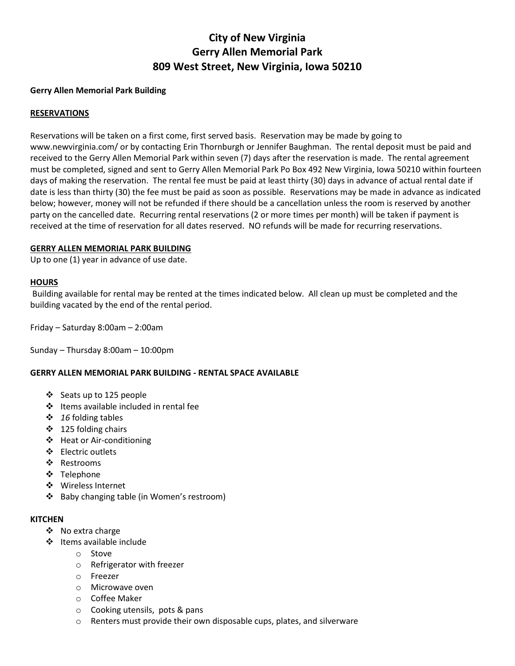# **City of New Virginia Gerry Allen Memorial Park 809 West Street, New Virginia, Iowa 50210**

## **Gerry Allen Memorial Park Building**

## **RESERVATIONS**

Reservations will be taken on a first come, first served basis. Reservation may be made by going to www.newvirginia.com/ or by contacting Erin Thornburgh or Jennifer Baughman. The rental deposit must be paid and received to the Gerry Allen Memorial Park within seven (7) days after the reservation is made. The rental agreement must be completed, signed and sent to Gerry Allen Memorial Park Po Box 492 New Virginia, Iowa 50210 within fourteen days of making the reservation. The rental fee must be paid at least thirty (30) days in advance of actual rental date if date is less than thirty (30) the fee must be paid as soon as possible. Reservations may be made in advance as indicated below; however, money will not be refunded if there should be a cancellation unless the room is reserved by another party on the cancelled date. Recurring rental reservations (2 or more times per month) will be taken if payment is received at the time of reservation for all dates reserved. NO refunds will be made for recurring reservations.

#### **GERRY ALLEN MEMORIAL PARK BUILDING**

Up to one (1) year in advance of use date.

#### **HOURS**

Building available for rental may be rented at the times indicated below. All clean up must be completed and the building vacated by the end of the rental period.

Friday – Saturday 8:00am – 2:00am

Sunday – Thursday 8:00am – 10:00pm

#### **GERRY ALLEN MEMORIAL PARK BUILDING - RENTAL SPACE AVAILABLE**

- ❖ Seats up to 125 people
- ❖ Items available included in rental fee
- *16* folding tables
- $\div$  125 folding chairs
- ❖ Heat or Air-conditioning
- ❖ Electric outlets
- ❖ Restrooms
- Telephone
- ❖ Wireless Internet
- ❖ Baby changing table (in Women's restroom)

#### **KITCHEN**

- ❖ No extra charge
- ❖ Items available include
	- o Stove
	- o Refrigerator with freezer
	- o Freezer
	- o Microwave oven
	- o Coffee Maker
	- o Cooking utensils, pots & pans
	- o Renters must provide their own disposable cups, plates, and silverware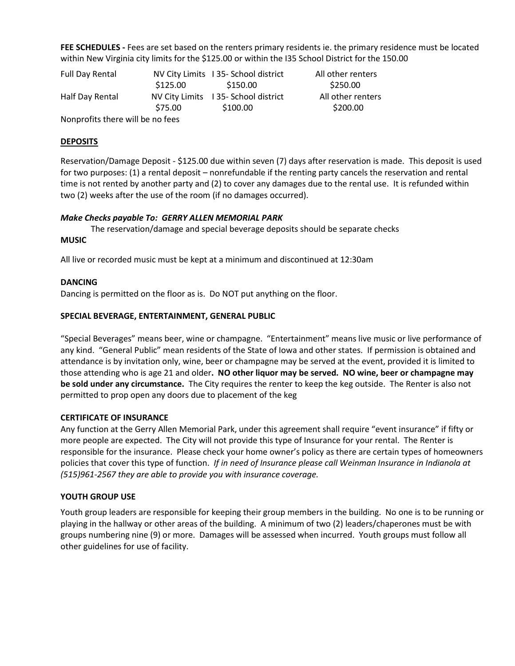**FEE SCHEDULES -** Fees are set based on the renters primary residents ie. the primary residence must be located within New Virginia city limits for the \$125.00 or within the I35 School District for the 150.00

| Full Day Rental                  |          | NV City Limits 135- School district | All other renters |  |  |
|----------------------------------|----------|-------------------------------------|-------------------|--|--|
|                                  | \$125.00 | \$150.00                            | \$250.00          |  |  |
| Half Day Rental                  |          | NV City Limits 135- School district | All other renters |  |  |
|                                  | \$75.00  | \$100.00                            | \$200.00          |  |  |
| Nonprofits there will be no fees |          |                                     |                   |  |  |

**DEPOSITS**

Reservation/Damage Deposit - \$125.00 due within seven (7) days after reservation is made. This deposit is used for two purposes: (1) a rental deposit – nonrefundable if the renting party cancels the reservation and rental time is not rented by another party and (2) to cover any damages due to the rental use. It is refunded within two (2) weeks after the use of the room (if no damages occurred).

## *Make Checks payable To: GERRY ALLEN MEMORIAL PARK*

The reservation/damage and special beverage deposits should be separate checks

#### **MUSIC**

All live or recorded music must be kept at a minimum and discontinued at 12:30am

#### **DANCING**

Dancing is permitted on the floor as is. Do NOT put anything on the floor.

#### **SPECIAL BEVERAGE, ENTERTAINMENT, GENERAL PUBLIC**

"Special Beverages" means beer, wine or champagne. "Entertainment" means live music or live performance of any kind. "General Public" mean residents of the State of Iowa and other states. If permission is obtained and attendance is by invitation only, wine, beer or champagne may be served at the event, provided it is limited to those attending who is age 21 and older**. NO other liquor may be served. NO wine, beer or champagne may be sold under any circumstance.** The City requires the renter to keep the keg outside. The Renter is also not permitted to prop open any doors due to placement of the keg

#### **CERTIFICATE OF INSURANCE**

Any function at the Gerry Allen Memorial Park, under this agreement shall require "event insurance" if fifty or more people are expected. The City will not provide this type of Insurance for your rental. The Renter is responsible for the insurance. Please check your home owner's policy as there are certain types of homeowners policies that cover this type of function. *If in need of Insurance please call Weinman Insurance in Indianola at (515)961-2567 they are able to provide you with insurance coverage.* 

#### **YOUTH GROUP USE**

Youth group leaders are responsible for keeping their group members in the building. No one is to be running or playing in the hallway or other areas of the building. A minimum of two (2) leaders/chaperones must be with groups numbering nine (9) or more. Damages will be assessed when incurred. Youth groups must follow all other guidelines for use of facility.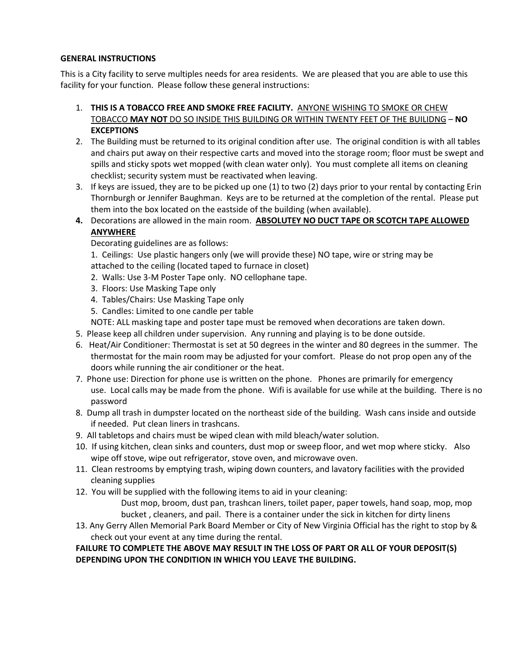## **GENERAL INSTRUCTIONS**

This is a City facility to serve multiples needs for area residents. We are pleased that you are able to use this facility for your function. Please follow these general instructions:

- 1. **THIS IS A TOBACCO FREE AND SMOKE FREE FACILITY.** ANYONE WISHING TO SMOKE OR CHEW TOBACCO **MAY NOT** DO SO INSIDE THIS BUILDING OR WITHIN TWENTY FEET OF THE BUILIDNG – **NO EXCEPTIONS**
- 2. The Building must be returned to its original condition after use. The original condition is with all tables and chairs put away on their respective carts and moved into the storage room; floor must be swept and spills and sticky spots wet mopped (with clean water only). You must complete all items on cleaning checklist; security system must be reactivated when leaving.
- 3. If keys are issued, they are to be picked up one (1) to two (2) days prior to your rental by contacting Erin Thornburgh or Jennifer Baughman. Keys are to be returned at the completion of the rental. Please put them into the box located on the eastside of the building (when available).
- **4.** Decorations are allowed in the main room. **ABSOLUTEY NO DUCT TAPE OR SCOTCH TAPE ALLOWED ANYWHERE**

Decorating guidelines are as follows:

- 1. Ceilings: Use plastic hangers only (we will provide these) NO tape, wire or string may be attached to the ceiling (located taped to furnace in closet)
- 2. Walls: Use 3-M Poster Tape only. NO cellophane tape.
- 3. Floors: Use Masking Tape only
- 4. Tables/Chairs: Use Masking Tape only
- 5. Candles: Limited to one candle per table
- NOTE: ALL masking tape and poster tape must be removed when decorations are taken down.
- 5. Please keep all children under supervision. Any running and playing is to be done outside.
- 6. Heat/Air Conditioner: Thermostat is set at 50 degrees in the winter and 80 degrees in the summer. The thermostat for the main room may be adjusted for your comfort. Please do not prop open any of the doors while running the air conditioner or the heat.
- 7. Phone use: Direction for phone use is written on the phone. Phones are primarily for emergency use. Local calls may be made from the phone. Wifi is available for use while at the building. There is no password
- 8. Dump all trash in dumpster located on the northeast side of the building. Wash cans inside and outside if needed. Put clean liners in trashcans.
- 9. All tabletops and chairs must be wiped clean with mild bleach/water solution.
- 10. If using kitchen, clean sinks and counters, dust mop or sweep floor, and wet mop where sticky. Also wipe off stove, wipe out refrigerator, stove oven, and microwave oven.
- 11. Clean restrooms by emptying trash, wiping down counters, and lavatory facilities with the provided cleaning supplies
- 12. You will be supplied with the following items to aid in your cleaning: Dust mop, broom, dust pan, trashcan liners, toilet paper, paper towels, hand soap, mop, mop bucket , cleaners, and pail. There is a container under the sick in kitchen for dirty linens
- 13. Any Gerry Allen Memorial Park Board Member or City of New Virginia Official has the right to stop by & check out your event at any time during the rental.

# **FAILURE TO COMPLETE THE ABOVE MAY RESULT IN THE LOSS OF PART OR ALL OF YOUR DEPOSIT(S) DEPENDING UPON THE CONDITION IN WHICH YOU LEAVE THE BUILDING.**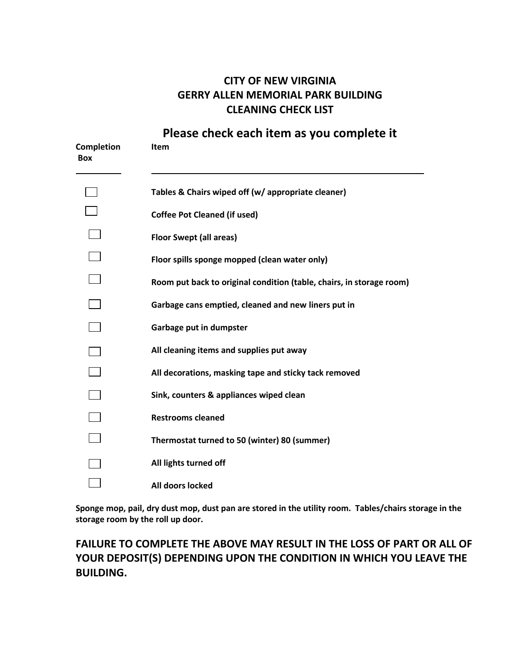# **CITY OF NEW VIRGINIA GERRY ALLEN MEMORIAL PARK BUILDING CLEANING CHECK LIST**

**Please check each item as you complete it**

| <b>Completion</b><br><b>Box</b> | <b>Item</b>                                                          |
|---------------------------------|----------------------------------------------------------------------|
|                                 | Tables & Chairs wiped off (w/ appropriate cleaner)                   |
|                                 | <b>Coffee Pot Cleaned (if used)</b>                                  |
|                                 | <b>Floor Swept (all areas)</b>                                       |
|                                 | Floor spills sponge mopped (clean water only)                        |
|                                 | Room put back to original condition (table, chairs, in storage room) |
|                                 | Garbage cans emptied, cleaned and new liners put in                  |
|                                 | Garbage put in dumpster                                              |
|                                 | All cleaning items and supplies put away                             |
|                                 | All decorations, masking tape and sticky tack removed                |
|                                 | Sink, counters & appliances wiped clean                              |
|                                 | <b>Restrooms cleaned</b>                                             |
|                                 | Thermostat turned to 50 (winter) 80 (summer)                         |
|                                 | All lights turned off                                                |
|                                 | All doors locked                                                     |

**Sponge mop, pail, dry dust mop, dust pan are stored in the utility room. Tables/chairs storage in the storage room by the roll up door.** 

# **FAILURE TO COMPLETE THE ABOVE MAY RESULT IN THE LOSS OF PART OR ALL OF YOUR DEPOSIT(S) DEPENDING UPON THE CONDITION IN WHICH YOU LEAVE THE BUILDING.**